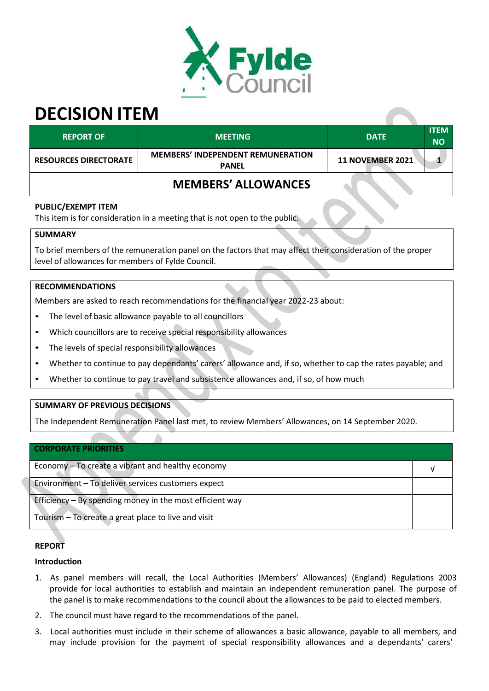

# **DECISION ITEM**

| <b>REPORT OF</b>             | <b>MEETING</b>                                           | <b>DATE</b>             | <b>ITEM</b><br><b>NO</b> |
|------------------------------|----------------------------------------------------------|-------------------------|--------------------------|
| <b>RESOURCES DIRECTORATE</b> | <b>MEMBERS' INDEPENDENT REMUNERATION</b><br><b>PANEL</b> | <b>11 NOVEMBER 2021</b> |                          |
|                              | <b>MEMBERS' ALLOWANCES</b>                               |                         |                          |

## **PUBLIC/EXEMPT ITEM**

This item is for consideration in a meeting that is not open to the public.

#### **SUMMARY**

To brief members of the remuneration panel on the factors that may affect their consideration of the proper level of allowances for members of Fylde Council.

## **RECOMMENDATIONS**

Members are asked to reach recommendations for the financial year 2022-23 about:

- The level of basic allowance payable to all councillors
- Which councillors are to receive special responsibility allowances
- The levels of special responsibility allowances
- Whether to continue to pay dependants' carers' allowance and, if so, whether to cap the rates payable; and
- Whether to continue to pay travel and subsistence allowances and, if so, of how much

# **SUMMARY OF PREVIOUS DECISIONS**

The Independent Remuneration Panel last met, to review Members' Allowances, on 14 September 2020.

| <b>CORPORATE PRIORITIES</b>                              |  |  |  |  |  |
|----------------------------------------------------------|--|--|--|--|--|
| Economy – To create a vibrant and healthy economy        |  |  |  |  |  |
| Environment - To deliver services customers expect       |  |  |  |  |  |
| Efficiency - By spending money in the most efficient way |  |  |  |  |  |
| Tourism - To create a great place to live and visit      |  |  |  |  |  |

# **REPORT**

# **Introduction**

- 1. As panel members will recall, the Local Authorities (Members' Allowances) (England) Regulations 2003 provide for local authorities to establish and maintain an independent remuneration panel. The purpose of the panel is to make recommendations to the council about the allowances to be paid to elected members.
- 2. The council must have regard to the recommendations of the panel.
- 3. Local authorities must include in their scheme of allowances a basic allowance, payable to all members, and may include provision for the payment of special responsibility allowances and a dependants' carers'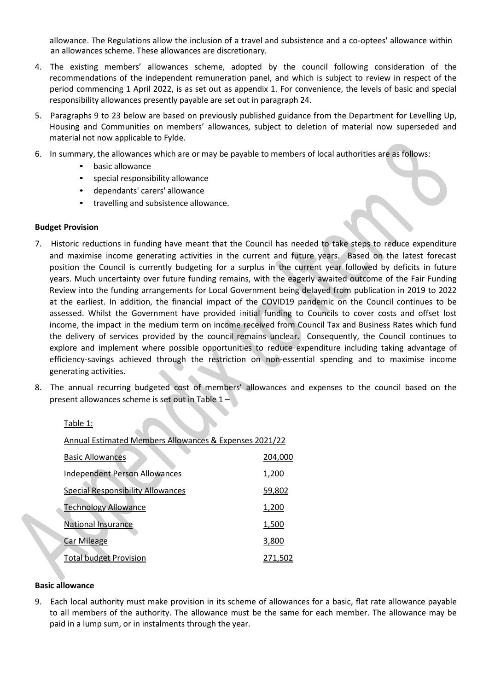allowance. The Regulations allow the inclusion of a travel and subsistence and a co-optees' allowance within an allowances scheme. These allowances are discretionary.

- 4. The existing members' allowances scheme, adopted by the council following consideration of the recommendations of the independent remuneration panel, and which is subject to review in respect of the period commencing 1 April 2022, is as set out as appendix 1. For convenience, the levels of basic and special responsibility allowances presently payable are set out in paragraph 24.
- 5. Paragraphs 9 to 23 below are based on previously published guidance from the Department for Levelling Up, Housing and Communities on members' allowances, subject to deletion of material now superseded and material not now applicable to Fylde.
- 6. In summary, the allowances which are or may be payable to members of local authorities are as follows:
	- basic allowance
	- special responsibility allowance
	- dependants' carers' allowance
	- travelling and subsistence allowance.

#### **Budget Provision**

- 7. Historic reductions in funding have meant that the Council has needed to take steps to reduce expenditure and maximise income generating activities in the current and future years. Based on the latest forecast position the Council is currently budgeting for a surplus in the current year followed by deficits in future years. Much uncertainty over future funding remains, with the eagerly awaited outcome of the Fair Funding Review into the funding arrangements for Local Government being delayed from publication in 2019 to 2022 at the earliest. In addition, the financial impact of the COVID19 pandemic on the Council continues to be assessed. Whilst the Government have provided initial funding to Councils to cover costs and offset lost income, the impact in the medium term on income received from Council Tax and Business Rates which fund the delivery of services provided by the council remains unclear. Consequently, the Council continues to explore and implement where possible opportunities to reduce expenditure including taking advantage of efficiency-savings achieved through the restriction on non-essential spending and to maximise income generating activities.
- 8. The annual recurring budgeted cost of members' allowances and expenses to the council based on the present allowances scheme is set out in Table 1 –

Table 1:

| Annual Estimated Members Allowances & Expenses 2021/22 |         |  |  |  |  |  |  |  |
|--------------------------------------------------------|---------|--|--|--|--|--|--|--|
| <b>Basic Allowances</b>                                | 204,000 |  |  |  |  |  |  |  |
| <b>Independent Person Allowances</b>                   | 1,200   |  |  |  |  |  |  |  |
| <b>Special Responsibility Allowances</b>               | 59,802  |  |  |  |  |  |  |  |
| <b>Technology Allowance</b>                            | 1,200   |  |  |  |  |  |  |  |
| National Insurance                                     | 1,500   |  |  |  |  |  |  |  |
| <b>Car Mileage</b>                                     | 3,800   |  |  |  |  |  |  |  |
| <b>Total budget Provision</b>                          | 271,502 |  |  |  |  |  |  |  |

#### **Basic allowance**

9. Each local authority must make provision in its scheme of allowances for a basic, flat rate allowance payable to all members of the authority. The allowance must be the same for each member. The allowance may be paid in a lump sum, or in instalments through the year.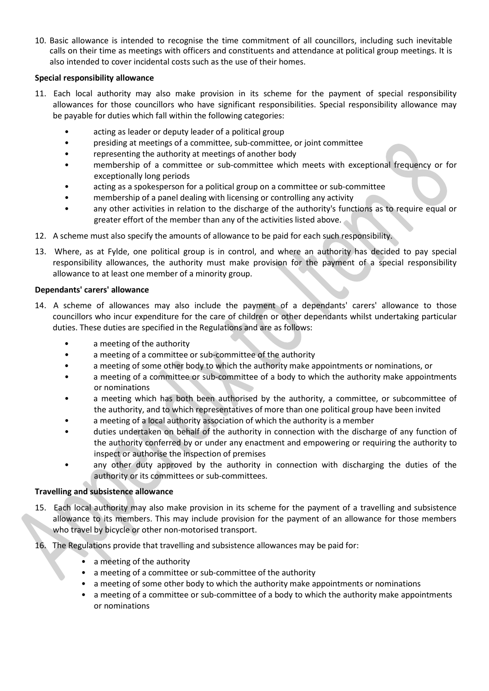10. Basic allowance is intended to recognise the time commitment of all councillors, including such inevitable calls on their time as meetings with officers and constituents and attendance at political group meetings. It is also intended to cover incidental costs such as the use of their homes.

## **Special responsibility allowance**

- 11. Each local authority may also make provision in its scheme for the payment of special responsibility allowances for those councillors who have significant responsibilities. Special responsibility allowance may be payable for duties which fall within the following categories:
	- acting as leader or deputy leader of a political group
	- presiding at meetings of a committee, sub-committee, or joint committee
	- representing the authority at meetings of another body
	- membership of a committee or sub-committee which meets with exceptional frequency or for exceptionally long periods
	- acting as a spokesperson for a political group on a committee or sub-committee
	- membership of a panel dealing with licensing or controlling any activity
	- any other activities in relation to the discharge of the authority's functions as to require equal or greater effort of the member than any of the activities listed above.
- 12. A scheme must also specify the amounts of allowance to be paid for each such responsibility.
- 13. Where, as at Fylde, one political group is in control, and where an authority has decided to pay special responsibility allowances, the authority must make provision for the payment of a special responsibility allowance to at least one member of a minority group.

#### **Dependants' carers' allowance**

- 14. A scheme of allowances may also include the payment of a dependants' carers' allowance to those councillors who incur expenditure for the care of children or other dependants whilst undertaking particular duties. These duties are specified in the Regulations and are as follows:
	- a meeting of the authority
	- a meeting of a committee or sub-committee of the authority
	- a meeting of some other body to which the authority make appointments or nominations, or
	- a meeting of a committee or sub-committee of a body to which the authority make appointments or nominations
	- a meeting which has both been authorised by the authority, a committee, or subcommittee of the authority, and to which representatives of more than one political group have been invited
	- a meeting of a local authority association of which the authority is a member
	- duties undertaken on behalf of the authority in connection with the discharge of any function of the authority conferred by or under any enactment and empowering or requiring the authority to inspect or authorise the inspection of premises
	- any other duty approved by the authority in connection with discharging the duties of the authority or its committees or sub-committees.

#### **Travelling and subsistence allowance**

- 15. Each local authority may also make provision in its scheme for the payment of a travelling and subsistence allowance to its members. This may include provision for the payment of an allowance for those members who travel by bicycle or other non-motorised transport.
- 16. The Regulations provide that travelling and subsistence allowances may be paid for:
	- a meeting of the authority
	- a meeting of a committee or sub-committee of the authority
	- a meeting of some other body to which the authority make appointments or nominations
	- a meeting of a committee or sub-committee of a body to which the authority make appointments or nominations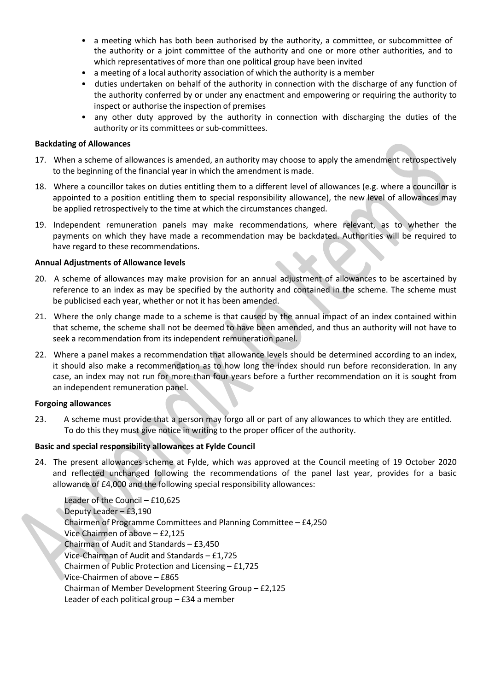- a meeting which has both been authorised by the authority, a committee, or subcommittee of the authority or a joint committee of the authority and one or more other authorities, and to which representatives of more than one political group have been invited
- a meeting of a local authority association of which the authority is a member
- duties undertaken on behalf of the authority in connection with the discharge of any function of the authority conferred by or under any enactment and empowering or requiring the authority to inspect or authorise the inspection of premises
- any other duty approved by the authority in connection with discharging the duties of the authority or its committees or sub-committees.

#### **Backdating of Allowances**

- 17. When a scheme of allowances is amended, an authority may choose to apply the amendment retrospectively to the beginning of the financial year in which the amendment is made.
- 18. Where a councillor takes on duties entitling them to a different level of allowances (e.g. where a councillor is appointed to a position entitling them to special responsibility allowance), the new level of allowances may be applied retrospectively to the time at which the circumstances changed.
- 19. Independent remuneration panels may make recommendations, where relevant, as to whether the payments on which they have made a recommendation may be backdated. Authorities will be required to have regard to these recommendations.

#### **Annual Adjustments of Allowance levels**

- 20. A scheme of allowances may make provision for an annual adjustment of allowances to be ascertained by reference to an index as may be specified by the authority and contained in the scheme. The scheme must be publicised each year, whether or not it has been amended.
- 21. Where the only change made to a scheme is that caused by the annual impact of an index contained within that scheme, the scheme shall not be deemed to have been amended, and thus an authority will not have to seek a recommendation from its independent remuneration panel.
- 22. Where a panel makes a recommendation that allowance levels should be determined according to an index, it should also make a recommendation as to how long the index should run before reconsideration. In any case, an index may not run for more than four years before a further recommendation on it is sought from an independent remuneration panel.

#### **Forgoing allowances**

23. A scheme must provide that a person may forgo all or part of any allowances to which they are entitled. To do this they must give notice in writing to the proper officer of the authority.

#### **Basic and special responsibility allowances at Fylde Council**

24. The present allowances scheme at Fylde, which was approved at the Council meeting of 19 October 2020 and reflected unchanged following the recommendations of the panel last year, provides for a basic allowance of £4,000 and the following special responsibility allowances:

Leader of the Council – £10,625 Deputy Leader – £3,190 Chairmen of Programme Committees and Planning Committee – £4,250 Vice Chairmen of above – £2,125 Chairman of Audit and Standards – £3,450 Vice-Chairman of Audit and Standards – £1,725 Chairmen of Public Protection and Licensing – £1,725 Vice-Chairmen of above – £865 Chairman of Member Development Steering Group – £2,125 Leader of each political group – £34 a member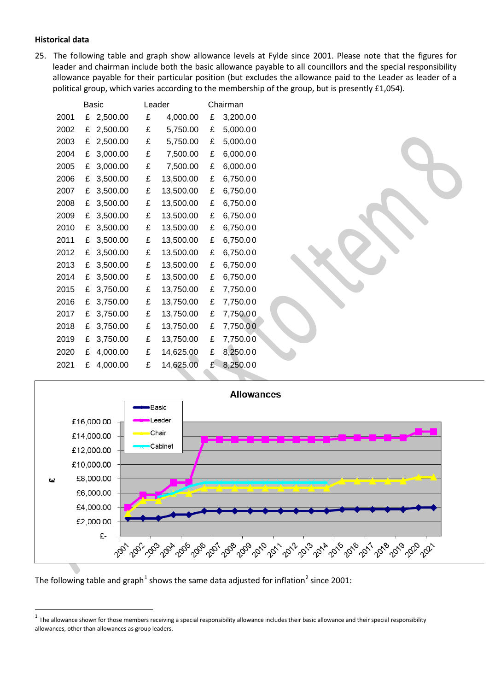#### **Historical data**

25. The following table and graph show allowance levels at Fylde since 2001. Please note that the figures for leader and chairman include both the basic allowance payable to all councillors and the special responsibility allowance payable for their particular position (but excludes the allowance paid to the Leader as leader of a political group, which varies according to the membership of the group, but is presently £1,054).

| Basic |   |          | Leader |           | Chairman |          |  |  |
|-------|---|----------|--------|-----------|----------|----------|--|--|
| 2001  | £ | 2,500.00 | £      | 4,000.00  | £        | 3,200.00 |  |  |
| 2002  | £ | 2,500.00 | £      | 5,750.00  | £        | 5,000.00 |  |  |
| 2003  | £ | 2,500.00 | £      | 5,750.00  | £        | 5,000.00 |  |  |
| 2004  | £ | 3,000.00 | £      | 7,500.00  | £        | 6,000.00 |  |  |
| 2005  | £ | 3,000.00 | £      | 7,500.00  | £        | 6,000.00 |  |  |
| 2006  | £ | 3,500.00 | £      | 13,500.00 | £        | 6,750.00 |  |  |
| 2007  | £ | 3,500.00 | £      | 13,500.00 | £        | 6,750.00 |  |  |
| 2008  | £ | 3,500.00 | £      | 13,500.00 | £        | 6,750.00 |  |  |
| 2009  | £ | 3,500.00 | £      | 13,500.00 | £        | 6,750.00 |  |  |
| 2010  | £ | 3,500.00 | £      | 13,500.00 | £        | 6,750.00 |  |  |
| 2011  | £ | 3,500.00 | £      | 13,500.00 | £        | 6,750.00 |  |  |
| 2012  | £ | 3,500.00 | £      | 13,500.00 | £        | 6,750.00 |  |  |
| 2013  | £ | 3,500.00 | £      | 13,500.00 | £        | 6,750.00 |  |  |
| 2014  | £ | 3,500.00 | £      | 13,500.00 | £        | 6,750.00 |  |  |
| 2015  | £ | 3,750.00 | £      | 13,750.00 | £        | 7,750.00 |  |  |
| 2016  | £ | 3,750.00 | £      | 13,750.00 | £        | 7,750.00 |  |  |
| 2017  | £ | 3,750.00 | £      | 13,750.00 | £        | 7,750.00 |  |  |
| 2018  | £ | 3,750.00 | £      | 13,750.00 | £        | 7,750.00 |  |  |
| 2019  | £ | 3,750.00 | £      | 13,750.00 | £        | 7,750.00 |  |  |
| 2020  | £ | 4,000.00 | £      | 14,625.00 | £        | 8,250.00 |  |  |
| 2021  | £ | 4,000.00 | £      | 14,625.00 | £        | 8,250.00 |  |  |
|       |   |          |        |           |          |          |  |  |



The following table and graph<sup>1</sup> shows the same data adjusted for inflation<sup>2</sup> since 2001:

 $^1$  The allowance shown for those members receiving a special responsibility allowance includes their basic allowance and their special responsibility allowances, other than allowances as group leaders.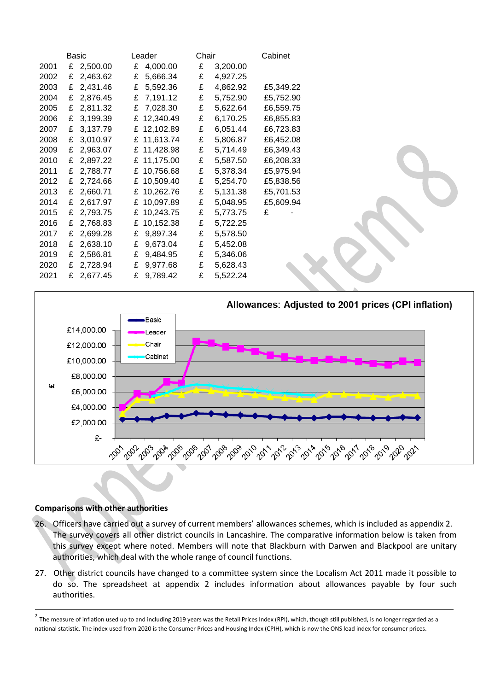|      | Basic      | Leader        | Chair |          | Cabinet   |
|------|------------|---------------|-------|----------|-----------|
| 2001 | £ 2,500.00 | £ 4,000.00    | £     | 3,200.00 |           |
| 2002 | £ 2,463.62 | £<br>5,666.34 | £     | 4,927.25 |           |
| 2003 | £ 2,431.46 | £<br>5,592.36 | £     | 4,862.92 | £5,349.22 |
| 2004 | £ 2,876.45 | £ 7,191.12    | £     | 5,752.90 | £5,752.90 |
| 2005 | £ 2,811.32 | £ 7,028.30    | £     | 5,622.64 | £6,559.75 |
| 2006 | £ 3,199.39 | £ 12,340.49   | £     | 6,170.25 | £6,855.83 |
| 2007 | £ 3,137.79 | £ 12,102.89   | £     | 6,051.44 | £6,723.83 |
| 2008 | £ 3,010.97 | £ 11,613.74   | £     | 5,806.87 | £6,452.08 |
| 2009 | £ 2,963.07 | £ 11,428.98   | £     | 5,714.49 | £6,349.43 |
| 2010 | £ 2,897.22 | £ 11,175.00   | £     | 5,587.50 | £6,208.33 |
| 2011 | £ 2,788.77 | £ 10,756.68   | £     | 5,378.34 | £5,975.94 |
| 2012 | £ 2,724.66 | £ 10,509.40   | £     | 5,254.70 | £5,838.56 |
| 2013 | £ 2,660.71 | £ 10,262.76   | £     | 5,131.38 | £5,701.53 |
| 2014 | £ 2,617.97 | £ 10,097.89   | £     | 5,048.95 | £5,609.94 |
| 2015 | £ 2,793.75 | £ 10,243.75   | £     | 5,773.75 | £         |
| 2016 | £ 2,768.83 | £ 10,152.38   | £     | 5,722.25 |           |
| 2017 | £ 2,699.28 | 9,897.34<br>£ | £     | 5,578.50 |           |
| 2018 | £ 2,638.10 | £<br>9,673.04 | £     | 5,452.08 |           |
| 2019 | £ 2,586.81 | £<br>9,484.95 | £     | 5,346.06 |           |
| 2020 | £ 2,728.94 | £<br>9,977.68 | £     | 5,628.43 |           |
| 2021 | £ 2,677.45 | £<br>9,789.42 | £     | 5,522.24 |           |



# **Comparisons with other authorities**

- 26. Officers have carried out a survey of current members' allowances schemes, which is included as appendix 2. The survey covers all other district councils in Lancashire. The comparative information below is taken from this survey except where noted. Members will note that Blackburn with Darwen and Blackpool are unitary authorities, which deal with the whole range of council functions.
- 27. Other district councils have changed to a committee system since the Localism Act 2011 made it possible to do so. The spreadsheet at appendix 2 includes information about allowances payable by four such authorities.

 $^2$  The measure of inflation used up to and including 2019 years was the Retail Prices Index (RPI), which, though still published, is no longer regarded as a national statistic. The index used from 2020 is the Consumer Prices and Housing Index (CPIH), which is now the ONS lead index for consumer prices.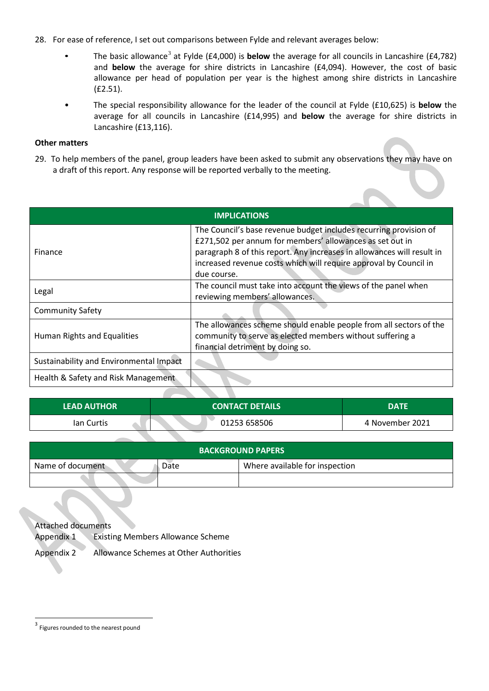- 28. For ease of reference, I set out comparisons between Fylde and relevant averages below:
	- The basic allowance<sup>3</sup> at Fylde (£4,000) is **below** the average for all councils in Lancashire (£4,782) and **below** the average for shire districts in Lancashire (£4,094). However, the cost of basic allowance per head of population per year is the highest among shire districts in Lancashire (£2.51).
	- The special responsibility allowance for the leader of the council at Fylde (£10,625) is **below** the average for all councils in Lancashire (£14,995) and **below** the average for shire districts in Lancashire (£13,116).

#### **Other matters**

29. To help members of the panel, group leaders have been asked to submit any observations they may have on a draft of this report. Any response will be reported verbally to the meeting.

| <b>IMPLICATIONS</b>                     |                                                                                                                                                                                                                                                                                             |  |  |  |  |  |  |  |
|-----------------------------------------|---------------------------------------------------------------------------------------------------------------------------------------------------------------------------------------------------------------------------------------------------------------------------------------------|--|--|--|--|--|--|--|
| Finance                                 | The Council's base revenue budget includes recurring provision of<br>£271,502 per annum for members' allowances as set out in<br>paragraph 8 of this report. Any increases in allowances will result in<br>increased revenue costs which will require approval by Council in<br>due course. |  |  |  |  |  |  |  |
| Legal                                   | The council must take into account the views of the panel when<br>reviewing members' allowances.                                                                                                                                                                                            |  |  |  |  |  |  |  |
| <b>Community Safety</b>                 |                                                                                                                                                                                                                                                                                             |  |  |  |  |  |  |  |
| Human Rights and Equalities             | The allowances scheme should enable people from all sectors of the<br>community to serve as elected members without suffering a<br>financial detriment by doing so.                                                                                                                         |  |  |  |  |  |  |  |
| Sustainability and Environmental Impact |                                                                                                                                                                                                                                                                                             |  |  |  |  |  |  |  |
| Health & Safety and Risk Management     |                                                                                                                                                                                                                                                                                             |  |  |  |  |  |  |  |

| <b>LEAD AUTHOR</b> | <b>CONTACT DETAILS</b> | <b>DATE</b>     |  |  |
|--------------------|------------------------|-----------------|--|--|
| lan Curtis         | 01253 658506           | 4 November 2021 |  |  |

| <b>BACKGROUND PAPERS</b> |      |                                |  |  |  |  |  |  |  |  |
|--------------------------|------|--------------------------------|--|--|--|--|--|--|--|--|
| Name of document         | Date | Where available for inspection |  |  |  |  |  |  |  |  |
|                          |      |                                |  |  |  |  |  |  |  |  |

Attached documents Appendix 1 Existing Members Allowance Scheme Appendix 2 Allowance Schemes at Other Authorities

<sup>&</sup>lt;sup>3</sup> Figures rounded to the nearest pound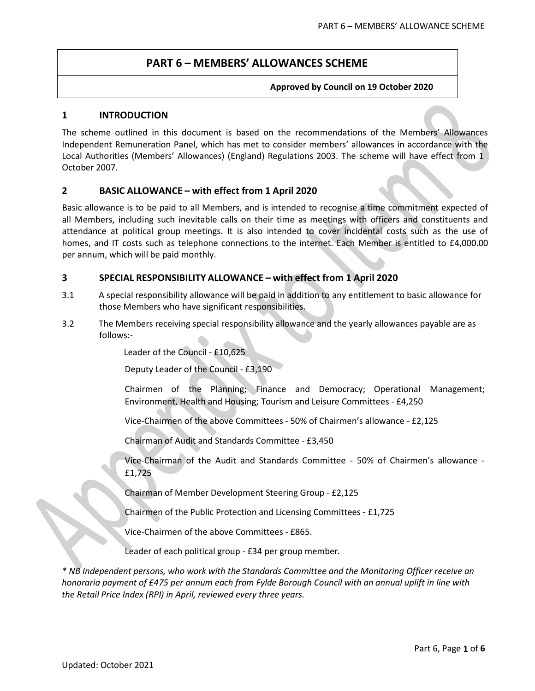# **PART 6 – MEMBERS' ALLOWANCES SCHEME**

#### **Approved by Council on 19 October 2020**

#### **1 INTRODUCTION**

The scheme outlined in this document is based on the recommendations of the Members' Allowances Independent Remuneration Panel, which has met to consider members' allowances in accordance with the Local Authorities (Members' Allowances) (England) Regulations 2003. The scheme will have effect from 1 October 2007.

#### **2 BASIC ALLOWANCE – with effect from 1 April 2020**

Basic allowance is to be paid to all Members, and is intended to recognise a time commitment expected of all Members, including such inevitable calls on their time as meetings with officers and constituents and attendance at political group meetings. It is also intended to cover incidental costs such as the use of homes, and IT costs such as telephone connections to the internet. Each Member is entitled to £4,000.00 per annum, which will be paid monthly.

#### **3 SPECIAL RESPONSIBILITY ALLOWANCE – with effect from 1 April 2020**

- 3.1 A special responsibility allowance will be paid in addition to any entitlement to basic allowance for those Members who have significant responsibilities.
- 3.2 The Members receiving special responsibility allowance and the yearly allowances payable are as follows:-

Leader of the Council - £10,625

Deputy Leader of the Council - £3,190

Chairmen of the Planning; Finance and Democracy; Operational Management; Environment, Health and Housing; Tourism and Leisure Committees - £4,250

Vice-Chairmen of the above Committees - 50% of Chairmen's allowance - £2,125

Chairman of Audit and Standards Committee - £3,450

Vice-Chairman of the Audit and Standards Committee - 50% of Chairmen's allowance - £1,725

Chairman of Member Development Steering Group - £2,125

Chairmen of the Public Protection and Licensing Committees - £1,725

Vice-Chairmen of the above Committees - £865.

Leader of each political group - £34 per group member*.*

*\* NB Independent persons, who work with the Standards Committee and the Monitoring Officer receive an honoraria payment of £475 per annum each from Fylde Borough Council with an annual uplift in line with the Retail Price Index (RPI) in April, reviewed every three years.*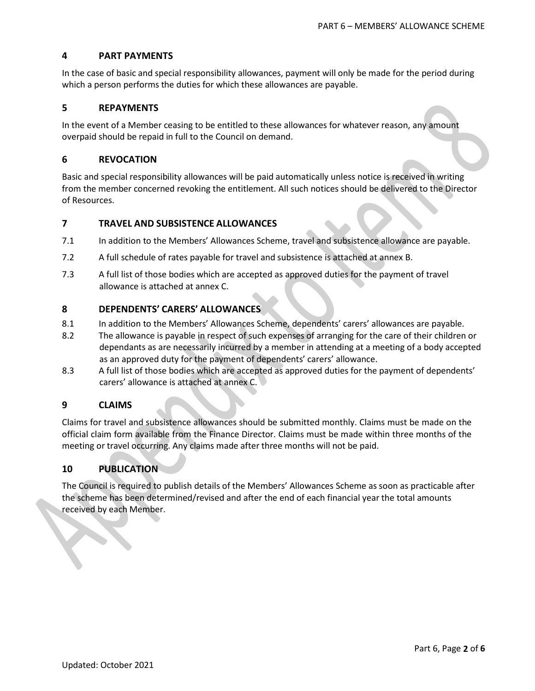# **4 PART PAYMENTS**

In the case of basic and special responsibility allowances, payment will only be made for the period during which a person performs the duties for which these allowances are payable.

#### **5 REPAYMENTS**

In the event of a Member ceasing to be entitled to these allowances for whatever reason, any amount overpaid should be repaid in full to the Council on demand.

#### **6 REVOCATION**

Basic and special responsibility allowances will be paid automatically unless notice is received in writing from the member concerned revoking the entitlement. All such notices should be delivered to the Director of Resources.

#### **7 TRAVEL AND SUBSISTENCE ALLOWANCES**

- 7.1 In addition to the Members' Allowances Scheme, travel and subsistence allowance are payable.
- 7.2 A full schedule of rates payable for travel and subsistence is attached at annex B.
- 7.3 A full list of those bodies which are accepted as approved duties for the payment of travel allowance is attached at annex C.

#### **8 DEPENDENTS' CARERS' ALLOWANCES**

- 8.1 In addition to the Members' Allowances Scheme, dependents' carers' allowances are payable.
- 8.2 The allowance is payable in respect of such expenses of arranging for the care of their children or dependants as are necessarily incurred by a member in attending at a meeting of a body accepted as an approved duty for the payment of dependents' carers' allowance.
- 8.3 A full list of those bodies which are accepted as approved duties for the payment of dependents' carers' allowance is attached at annex C.

#### **9 CLAIMS**

Claims for travel and subsistence allowances should be submitted monthly. Claims must be made on the official claim form available from the Finance Director. Claims must be made within three months of the meeting or travel occurring. Any claims made after three months will not be paid.

#### **10 PUBLICATION**

The Council is required to publish details of the Members' Allowances Scheme as soon as practicable after the scheme has been determined/revised and after the end of each financial year the total amounts received by each Member.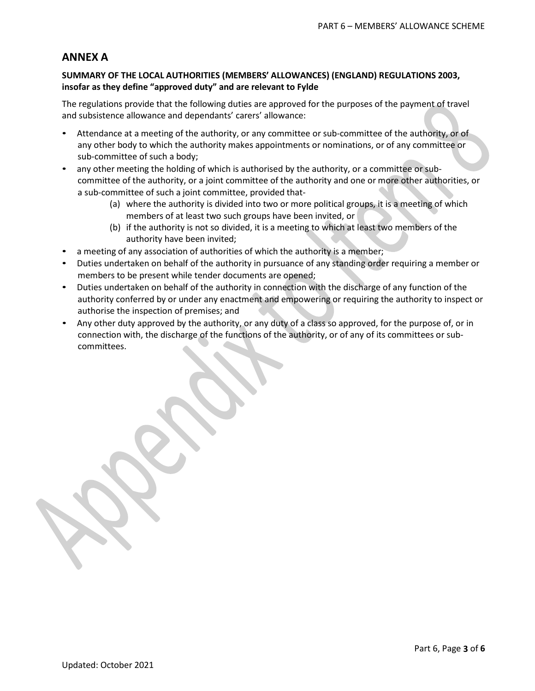# **ANNEX A**

#### **SUMMARY OF THE LOCAL AUTHORITIES (MEMBERS' ALLOWANCES) (ENGLAND) REGULATIONS 2003, insofar as they define "approved duty" and are relevant to Fylde**

The regulations provide that the following duties are approved for the purposes of the payment of travel and subsistence allowance and dependants' carers' allowance:

- Attendance at a meeting of the authority, or any committee or sub-committee of the authority, or of any other body to which the authority makes appointments or nominations, or of any committee or sub-committee of such a body;
- any other meeting the holding of which is authorised by the authority, or a committee or subcommittee of the authority, or a joint committee of the authority and one or more other authorities, or a sub-committee of such a joint committee, provided that-
	- (a) where the authority is divided into two or more political groups, it is a meeting of which members of at least two such groups have been invited, or
	- (b) if the authority is not so divided, it is a meeting to which at least two members of the authority have been invited;
- a meeting of any association of authorities of which the authority is a member;
- Duties undertaken on behalf of the authority in pursuance of any standing order requiring a member or members to be present while tender documents are opened;
- Duties undertaken on behalf of the authority in connection with the discharge of any function of the authority conferred by or under any enactment and empowering or requiring the authority to inspect or authorise the inspection of premises; and
- Any other duty approved by the authority, or any duty of a class so approved, for the purpose of, or in connection with, the discharge of the functions of the authority, or of any of its committees or subcommittees.

Part 6, Page **3** of **6**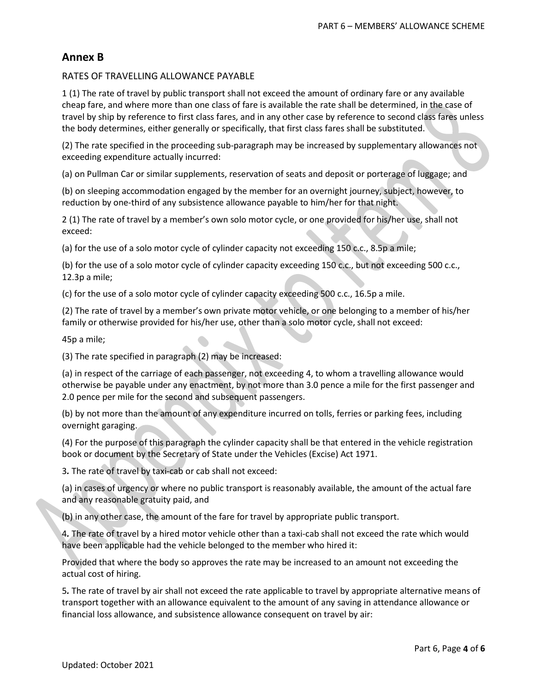# **Annex B**

#### RATES OF TRAVELLING ALLOWANCE PAYABLE

1 (1) The rate of travel by public transport shall not exceed the amount of ordinary fare or any available cheap fare, and where more than one class of fare is available the rate shall be determined, in the case of travel by ship by reference to first class fares, and in any other case by reference to second class fares unless the body determines, either generally or specifically, that first class fares shall be substituted.

(2) The rate specified in the proceeding sub-paragraph may be increased by supplementary allowances not exceeding expenditure actually incurred:

(a) on Pullman Car or similar supplements, reservation of seats and deposit or porterage of luggage; and

(b) on sleeping accommodation engaged by the member for an overnight journey, subject, however, to reduction by one-third of any subsistence allowance payable to him/her for that night.

2 (1) The rate of travel by a member's own solo motor cycle, or one provided for his/her use, shall not exceed:

(a) for the use of a solo motor cycle of cylinder capacity not exceeding 150 c.c., 8.5p a mile;

(b) for the use of a solo motor cycle of cylinder capacity exceeding 150 c.c., but not exceeding 500 c.c., 12.3p a mile;

(c) for the use of a solo motor cycle of cylinder capacity exceeding 500 c.c., 16.5p a mile.

(2) The rate of travel by a member's own private motor vehicle, or one belonging to a member of his/her family or otherwise provided for his/her use, other than a solo motor cycle, shall not exceed:

45p a mile;

(3) The rate specified in paragraph (2) may be increased:

(a) in respect of the carriage of each passenger, not exceeding 4, to whom a travelling allowance would otherwise be payable under any enactment, by not more than 3.0 pence a mile for the first passenger and 2.0 pence per mile for the second and subsequent passengers.

(b) by not more than the amount of any expenditure incurred on tolls, ferries or parking fees, including overnight garaging.

(4) For the purpose of this paragraph the cylinder capacity shall be that entered in the vehicle registration book or document by the Secretary of State under the Vehicles (Excise) Act 1971.

3*.* The rate of travel by taxi-cab or cab shall not exceed:

(a) in cases of urgency or where no public transport is reasonably available, the amount of the actual fare and any reasonable gratuity paid, and

(b) in any other case, the amount of the fare for travel by appropriate public transport.

4*.* The rate of travel by a hired motor vehicle other than a taxi-cab shall not exceed the rate which would have been applicable had the vehicle belonged to the member who hired it:

Provided that where the body so approves the rate may be increased to an amount not exceeding the actual cost of hiring.

5*.* The rate of travel by air shall not exceed the rate applicable to travel by appropriate alternative means of transport together with an allowance equivalent to the amount of any saving in attendance allowance or financial loss allowance, and subsistence allowance consequent on travel by air: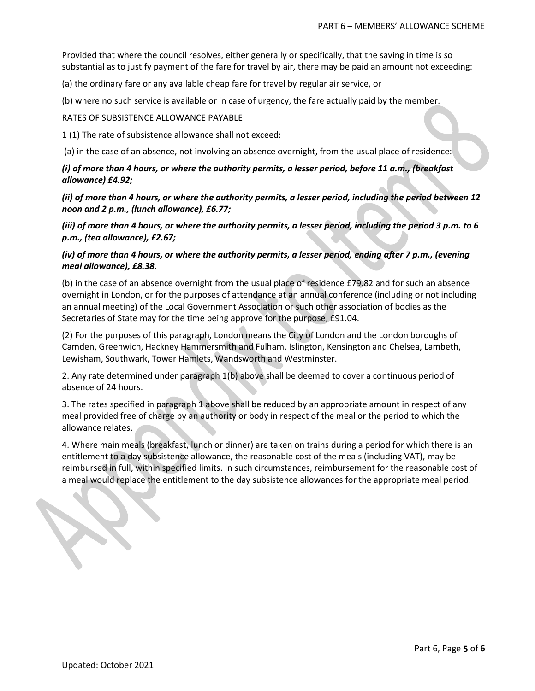Provided that where the council resolves, either generally or specifically, that the saving in time is so substantial as to justify payment of the fare for travel by air, there may be paid an amount not exceeding:

(a) the ordinary fare or any available cheap fare for travel by regular air service, or

(b) where no such service is available or in case of urgency, the fare actually paid by the member.

#### RATES OF SUBSISTENCE ALLOWANCE PAYABLE

1 (1) The rate of subsistence allowance shall not exceed:

(a) in the case of an absence, not involving an absence overnight, from the usual place of residence:

*(i) of more than 4 hours, or where the authority permits, a lesser period, before 11 a.m., (breakfast allowance) £4.92;*

*(ii) of more than 4 hours, or where the authority permits, a lesser period, including the period between 12 noon and 2 p.m., (lunch allowance), £6.77;*

*(iii) of more than 4 hours, or where the authority permits, a lesser period, including the period 3 p.m. to 6 p.m., (tea allowance), £2.67;*

*(iv) of more than 4 hours, or where the authority permits, a lesser period, ending after 7 p.m., (evening meal allowance), £8.38.*

(b) in the case of an absence overnight from the usual place of residence £79.82 and for such an absence overnight in London, or for the purposes of attendance at an annual conference (including or not including an annual meeting) of the Local Government Association or such other association of bodies as the Secretaries of State may for the time being approve for the purpose, £91.04.

(2) For the purposes of this paragraph, London means the City of London and the London boroughs of Camden, Greenwich, Hackney Hammersmith and Fulham, Islington, Kensington and Chelsea, Lambeth, Lewisham, Southwark, Tower Hamlets, Wandsworth and Westminster.

2. Any rate determined under paragraph 1(b) above shall be deemed to cover a continuous period of absence of 24 hours.

3. The rates specified in paragraph 1 above shall be reduced by an appropriate amount in respect of any meal provided free of charge by an authority or body in respect of the meal or the period to which the allowance relates.

4. Where main meals (breakfast, lunch or dinner) are taken on trains during a period for which there is an entitlement to a day subsistence allowance, the reasonable cost of the meals (including VAT), may be reimbursed in full, within specified limits. In such circumstances, reimbursement for the reasonable cost of a meal would replace the entitlement to the day subsistence allowances for the appropriate meal period.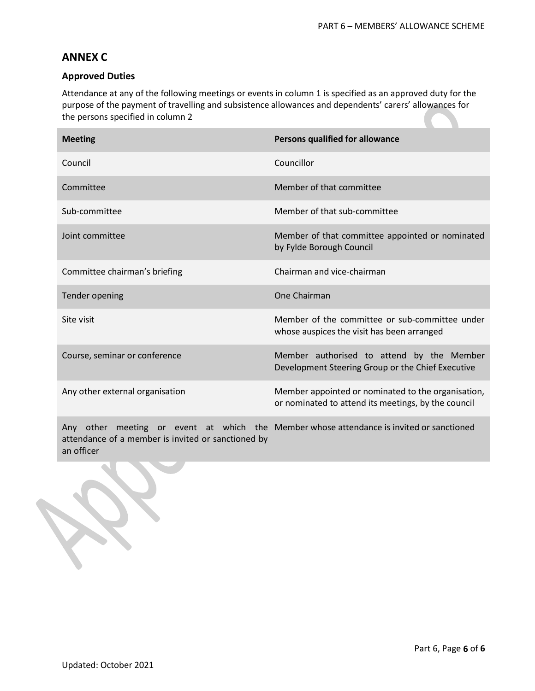# **ANNEX C**

## **Approved Duties**

Attendance at any of the following meetings or events in column 1 is specified as an approved duty for the purpose of the payment of travelling and subsistence allowances and dependents' carers' allowances for the persons specified in column 2

| <b>Meeting</b>                                                                                                                                 | Persons qualified for allowance                                                                           |
|------------------------------------------------------------------------------------------------------------------------------------------------|-----------------------------------------------------------------------------------------------------------|
| Council                                                                                                                                        | Councillor                                                                                                |
| Committee                                                                                                                                      | Member of that committee                                                                                  |
| Sub-committee                                                                                                                                  | Member of that sub-committee                                                                              |
| Joint committee                                                                                                                                | Member of that committee appointed or nominated<br>by Fylde Borough Council                               |
| Committee chairman's briefing                                                                                                                  | Chairman and vice-chairman                                                                                |
| <b>Tender opening</b>                                                                                                                          | One Chairman                                                                                              |
| Site visit                                                                                                                                     | Member of the committee or sub-committee under<br>whose auspices the visit has been arranged              |
| Course, seminar or conference                                                                                                                  | Member authorised to attend by the Member<br>Development Steering Group or the Chief Executive            |
| Any other external organisation                                                                                                                | Member appointed or nominated to the organisation,<br>or nominated to attend its meetings, by the council |
| Any other meeting or event at which the Member whose attendance is invited or sanctioned<br>attendance of a member is invited or sanctioned by |                                                                                                           |

an officer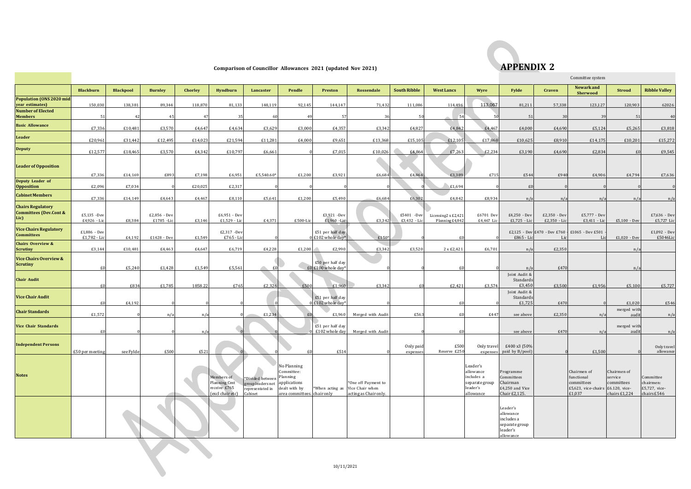

# **Comparison of Councillor Allowances 2021** (updated Nov 2021) **APPENDIX 2**

|                                                                       |                              |                  |                             |              |                                                                       |                                                                      |                                                                                                       |                                                 |                                                                                 |                            |                                        |                                                                                |                                                                                |                              | Committee system                                                                       |                                                       |                                                        |
|-----------------------------------------------------------------------|------------------------------|------------------|-----------------------------|--------------|-----------------------------------------------------------------------|----------------------------------------------------------------------|-------------------------------------------------------------------------------------------------------|-------------------------------------------------|---------------------------------------------------------------------------------|----------------------------|----------------------------------------|--------------------------------------------------------------------------------|--------------------------------------------------------------------------------|------------------------------|----------------------------------------------------------------------------------------|-------------------------------------------------------|--------------------------------------------------------|
|                                                                       | <b>Blackburn</b>             | <b>Blackpool</b> | <b>Burnley</b>              | Chorley      | Hyndburn                                                              | Lancaster                                                            | Pendle                                                                                                | Preston                                         | Rossendale                                                                      | <b>South Ribble</b>        | <b>West Lancs</b>                      | Wyre                                                                           | Fylde                                                                          | Craven                       | <b>Newark</b> and<br><b>Sherwood</b>                                                   | <b>Stroud</b>                                         | <b>Ribble Valley</b>                                   |
| <b>Population (ONS 2020 mid)</b><br>year estimates)                   | 150,030                      | 138,381          | 89,344                      | 118,870      | 81,133                                                                | 148,119                                                              | 92,145                                                                                                | 144,147                                         | 71,432                                                                          | 111,086                    | 114,496                                | 113,067                                                                        | 81,211                                                                         | 57,338                       | 123,127                                                                                | 120,903                                               | 62026                                                  |
| <b>Number of Elected</b><br><b>Members</b>                            |                              |                  | 45                          | 47           | 35                                                                    |                                                                      | 4 <sup>c</sup>                                                                                        | 57                                              | 36                                                                              | 50                         | 54                                     |                                                                                | $\overline{5}$                                                                 | 30                           | $\mathcal{R}$                                                                          | 51                                                    | 40                                                     |
| <b>Basic Allowance</b>                                                | £7.336                       | £10,481          | £3.570                      | £4.647       | £4,634                                                                | £3,629                                                               | £3,000                                                                                                | £4,357                                          | £3.342                                                                          | £4,827                     | £4.842                                 | £4,467                                                                         | £4,000                                                                         | £4,690                       | £5,124                                                                                 | £5,265                                                | £3,818                                                 |
| Leader                                                                | £20.961                      | £31.442          | £12.495                     | £14.023      | £21.594                                                               | £11.281                                                              | £4.000                                                                                                | £9.651                                          | £13.368                                                                         | £15.105                    | £12.105                                | £17,868                                                                        | £10.625                                                                        | £8.910                       | £14,175                                                                                | £10,201                                               | £15,272                                                |
| <b>Deputy</b>                                                         | £12,577                      | £18,465          | £3,570                      | £4,342       | £10,797                                                               | £6,661                                                               |                                                                                                       | £7,015                                          | £10,026                                                                         | £4,864                     | £7,263                                 | £2,234                                                                         | £3,190                                                                         | £4,690                       | £2,834                                                                                 | £0                                                    | £9,545                                                 |
| <b>Leader of Opposition</b>                                           | £7,336                       | £14,169          | £893                        | £7,198       | £6,951                                                                | £5,540.60*                                                           | £1,200                                                                                                | £3,921                                          | £6,684                                                                          | £4,864                     | £3.389                                 | £71                                                                            | £544                                                                           | £940                         | £4,906                                                                                 | £4,794                                                | £7,636                                                 |
| Deputy Leader of<br><b>Opposition</b>                                 | £2,096                       | £7,034           |                             | £20,025      | £2,317                                                                |                                                                      |                                                                                                       |                                                 |                                                                                 |                            | £1,694                                 |                                                                                | £0                                                                             |                              |                                                                                        |                                                       |                                                        |
| <b>Cabinet Members</b>                                                | £7,336                       | £14,149          | £4,643                      | £4,467       | £8,110                                                                | £5,641                                                               | £1,200                                                                                                | £5,490                                          | £6,684                                                                          | £6,302                     | £4,842                                 | £8.934                                                                         | n/a                                                                            | n/a                          | n/a                                                                                    | n/a                                                   | n/a                                                    |
| <b>Chairs Regulatory</b><br><b>Committees (Dev.Cont &amp;</b><br>Lic) | £5,135 -Dev<br>£4,926 - Lic  | £8,384           | £2,856 - Dev<br>£1785 - Lic | £3,146       | £6,951 - Dev<br>$£1,529$ - Lic                                        | £4,371                                                               | £500-Lic                                                                                              | £3,921 -Dev<br>£1,960 - Lic                     | £3,342                                                                          | £5401 -Dev<br>£3,432 - Lic | Licensing2 x £2,421<br>Planning £4,842 | £6701 Dev<br>£4,467 Lic                                                        | £4,250 - Dev<br>£1,725 - Lio                                                   | £2,350 - Dev<br>£2,350 - Lic | £5,777 - Dev<br>£3,411 - Lic                                                           | $£5,100$ - Dev                                        | £7,636 - Dev<br>£5,727 Lic                             |
| <b>Vice Chairs Regulatory</b><br><b>Committees</b>                    | £1,886 - Dev<br>£1,782 - Lio | £4,192           | $£1428 - Dev$               | £1,549       | £2,317 -Dev<br>£765 - Li                                              |                                                                      |                                                                                                       | £51 per half day<br>£102 whole day <sup>*</sup> | £150                                                                            |                            | £0                                     |                                                                                | £865 - Li                                                                      | Li                           | £2,125 - Dev £470 - Dev £760 - £1065 - Dev £501                                        | $£1,020$ - Dev                                        | $£1,092 - Dev$<br>£5046Lic                             |
| <b>Chairs Overview &amp;</b><br><b>Scrutiny</b>                       | £3.144                       | £10,481          | £4,463                      | £4,647       | £6,719                                                                | £4,228                                                               | £1,200                                                                                                | £2,990                                          | £3.342                                                                          | £3.520                     | 2 x £2.421                             | £6,701                                                                         | n/a                                                                            | £2.350                       |                                                                                        | n/a                                                   |                                                        |
| <b>Vice Chairs Overview &amp;</b><br><b>Scrutiny</b>                  |                              | £5,240           | £1,428                      | £1.549       | £5.561                                                                | 一                                                                    |                                                                                                       | £50 per half day<br>£0 £100 whole day*          |                                                                                 |                            | £í                                     |                                                                                | n/                                                                             | £470                         |                                                                                        | n/a                                                   |                                                        |
| <b>Chair Audit</b>                                                    |                              | £834             | £1.785                      | 1858.22      | £765                                                                  | £2.326                                                               | £500                                                                                                  | £1.960                                          | £3.342                                                                          | £∩                         | £2.421                                 | £3.574                                                                         | Joint Audit &<br>Standards<br>£3,450                                           | £3,500                       | £1.956                                                                                 | £5.100                                                | £5,727                                                 |
| <b>Vice Chair Audit</b>                                               |                              | £4,192           |                             |              |                                                                       |                                                                      |                                                                                                       | £51 per half day<br>£102 whole day <sup>*</sup> |                                                                                 |                            | £0                                     |                                                                                | Joint Audit 8<br>Standards<br>£1,725                                           | £470                         |                                                                                        | £1,020                                                | £546                                                   |
| <b>Chair Standards</b>                                                | £1,572                       |                  | n/i                         | $n/\epsilon$ |                                                                       | £1,234                                                               | f(f)                                                                                                  | £1,960                                          | Merged with Audit                                                               | £563                       | £0                                     | £447                                                                           | see above                                                                      | £2,350                       | n/a                                                                                    | merged with<br>audi                                   | n/a                                                    |
| <b>Vice Chair Standards</b>                                           |                              |                  |                             | $n/\epsilon$ |                                                                       |                                                                      |                                                                                                       | £51 per half day<br>£102 whole day              | Merged with Audit                                                               |                            | £0                                     |                                                                                | see above                                                                      | £470                         | n/a                                                                                    | merged with<br>audit                                  | n/a                                                    |
| <b>Independent Persons</b>                                            | £50 per meeting              | see Fylde        | £500                        | £521         |                                                                       |                                                                      |                                                                                                       | £514                                            |                                                                                 | Only paid<br>expenses      | £500<br>Reserve £250                   | Only travel<br>expenses                                                        | £400 x3 (50%<br>paid by B/pool                                                 |                              | £1,500                                                                                 |                                                       | Only travel<br>allowance                               |
| <b>Notes</b>                                                          |                              |                  |                             |              | Members of<br><b>Planning Cmt</b><br>receive £765<br>(excl chair etc) | *Divided between<br>group leaders not<br>representated in<br>Cabinet | No Planning<br>Committee:<br>Planning<br>applications<br>dealt with by<br>area committees. chair only |                                                 | *One off Payment to<br>*When acting as Vice Chair when<br>acting as Chair only. |                            |                                        | Leader's<br>allowance<br>includes a<br>separate group<br>leader's<br>allowance | Programme<br>Committees<br>Chairman<br>£4,250 and Vice<br>Chair £2,125.        |                              | Chairmen of<br>functional<br>committees<br>£5,623, vice-chairs £6.120, vice-<br>£1,037 | Chairmen of<br>service<br>committees<br>chairs £1,224 | Committee<br>chairmen:<br>£5,727, vice-<br>chairs £546 |
|                                                                       |                              |                  |                             |              |                                                                       |                                                                      |                                                                                                       |                                                 |                                                                                 |                            |                                        |                                                                                | Leader's<br>allowance<br>includes a<br>separate group<br>leader's<br>allowance |                              |                                                                                        |                                                       |                                                        |